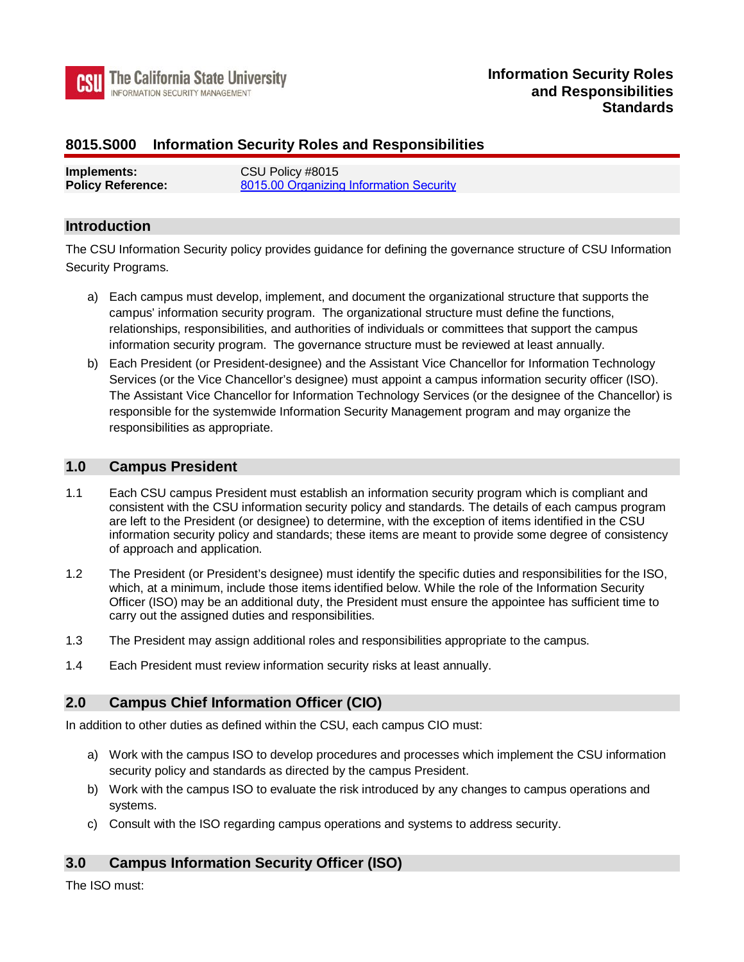

## **8015.S000 Information Security Roles and Responsibilities**

| Implements:              | CSU Policy #8015                        |
|--------------------------|-----------------------------------------|
| <b>Policy Reference:</b> | 8015.00 Organizing Information Security |

#### **Introduction**

The CSU Information Security policy provides guidance for defining the governance structure of CSU Information Security Programs.

- information security program. The governance structure must be reviewed at least annually. a) Each campus must develop, implement, and document the organizational structure that supports the campus' information security program. The organizational structure must define the functions, relationships, responsibilities, and authorities of individuals or committees that support the campus
- b) Each President (or President-designee) and the Assistant Vice Chancellor for Information Technology Services (or the Vice Chancellor's designee) must appoint a campus information security officer (ISO). The Assistant Vice Chancellor for Information Technology Services (or the designee of the Chancellor) is responsible for the systemwide Information Security Management program and may organize the responsibilities as appropriate.

### **1.0 Campus President**

- 1.1 Each CSU campus President must establish an information security program which is compliant and consistent with the CSU information security policy and standards. The details of each campus program are left to the President (or designee) to determine, with the exception of items identified in the CSU information security policy and standards; these items are meant to provide some degree of consistency of approach and application.
- 1.2 The President (or President's designee) must identify the specific duties and responsibilities for the ISO, which, at a minimum, include those items identified below. While the role of the Information Security Officer (ISO) may be an additional duty, the President must ensure the appointee has sufficient time to carry out the assigned duties and responsibilities.
- 1.3 The President may assign additional roles and responsibilities appropriate to the campus.
- 1.4 Each President must review information security risks at least annually.

### **2.0 Campus Chief Information Officer (CIO)**

In addition to other duties as defined within the CSU, each campus CIO must:

- a) Work with the campus ISO to develop procedures and processes which implement the CSU information security policy and standards as directed by the campus President.
- b) Work with the campus ISO to evaluate the risk introduced by any changes to campus operations and systems.
- c) Consult with the ISO regarding campus operations and systems to address security.

### **3.0 Campus Information Security Officer (ISO)**

The ISO must: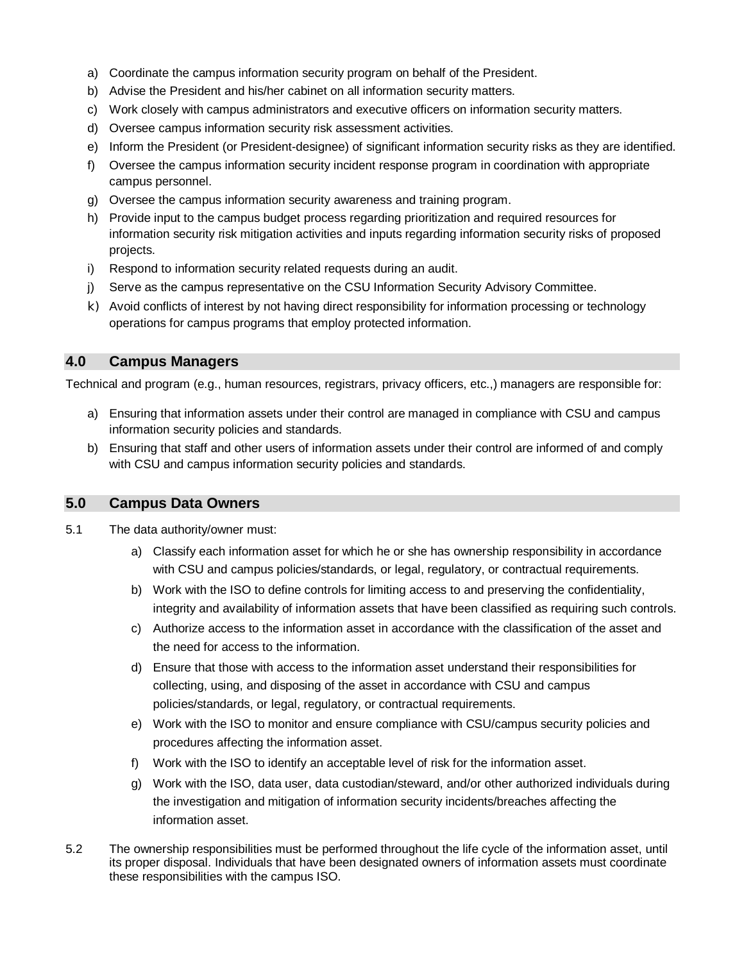- a) Coordinate the campus information security program on behalf of the President.
- b) Advise the President and his/her cabinet on all information security matters.
- c) Work closely with campus administrators and executive officers on information security matters.
- d) Oversee campus information security risk assessment activities.
- e) Inform the President (or President-designee) of significant information security risks as they are identified.
- f) Oversee the campus information security incident response program in coordination with appropriate campus personnel.
- g) Oversee the campus information security awareness and training program.
- h) Provide input to the campus budget process regarding prioritization and required resources for information security risk mitigation activities and inputs regarding information security risks of proposed projects.
- i) Respond to information security related requests during an audit.
- j) Serve as the campus representative on the CSU Information Security Advisory Committee.
- k) Avoid conflicts of interest by not having direct responsibility for information processing or technology operations for campus programs that employ protected information.

### **4.0 Campus Managers**

Technical and program (e.g., human resources, registrars, privacy officers, etc.,) managers are responsible for:

- a) Ensuring that information assets under their control are managed in compliance with CSU and campus information security policies and standards.
- b) Ensuring that staff and other users of information assets under their control are informed of and comply with CSU and campus information security policies and standards.

#### **5.0 Campus Data Owners**

- 5.1 The data authority/owner must:
	- a) Classify each information asset for which he or she has ownership responsibility in accordance with CSU and campus policies/standards, or legal, regulatory, or contractual requirements.
	- b) Work with the ISO to define controls for limiting access to and preserving the confidentiality, integrity and availability of information assets that have been classified as requiring such controls.
	- c) Authorize access to the information asset in accordance with the classification of the asset and the need for access to the information.
	- d) Ensure that those with access to the information asset understand their responsibilities for collecting, using, and disposing of the asset in accordance with CSU and campus policies/standards, or legal, regulatory, or contractual requirements.
	- e) Work with the ISO to monitor and ensure compliance with CSU/campus security policies and procedures affecting the information asset.
	- f) Work with the ISO to identify an acceptable level of risk for the information asset.
	- g) Work with the ISO, data user, data custodian/steward, and/or other authorized individuals during the investigation and mitigation of information security incidents/breaches affecting the information asset.
- 5.2 The ownership responsibilities must be performed throughout the life cycle of the information asset, until its proper disposal. Individuals that have been designated owners of information assets must coordinate these responsibilities with the campus ISO.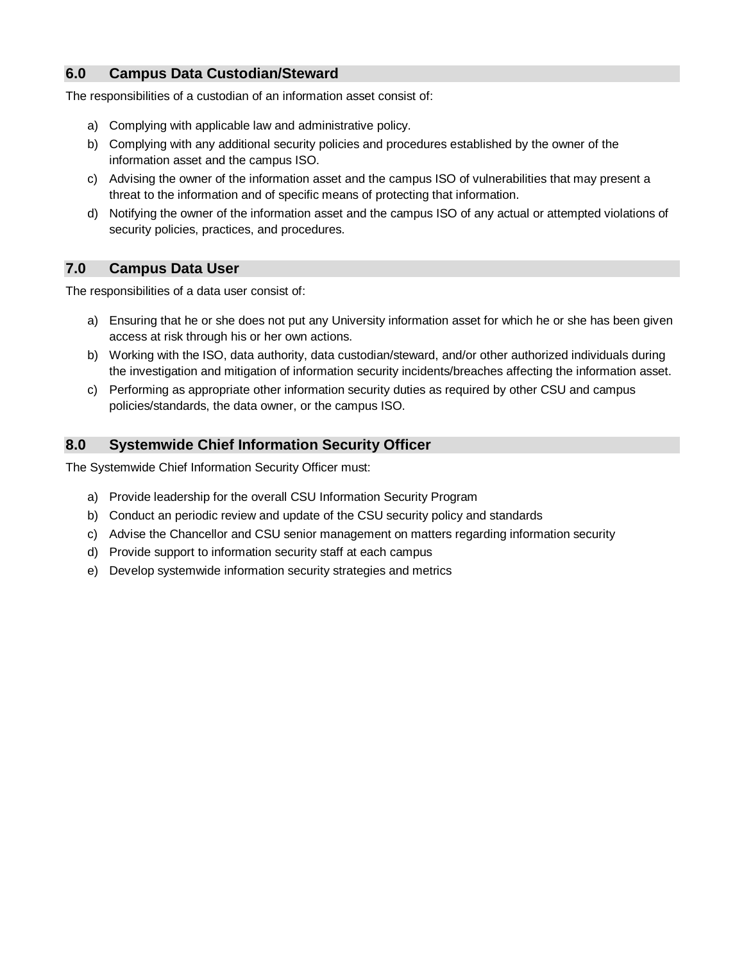# **6.0 Campus Data Custodian/Steward**

The responsibilities of a custodian of an information asset consist of:

- a) Complying with applicable law and administrative policy.
- b) Complying with any additional security policies and procedures established by the owner of the information asset and the campus ISO.
- c) Advising the owner of the information asset and the campus ISO of vulnerabilities that may present a threat to the information and of specific means of protecting that information.
- d) Notifying the owner of the information asset and the campus ISO of any actual or attempted violations of security policies, practices, and procedures.

### **7.0 Campus Data User**

The responsibilities of a data user consist of:

- a) Ensuring that he or she does not put any University information asset for which he or she has been given access at risk through his or her own actions.
- b) Working with the ISO, data authority, data custodian/steward, and/or other authorized individuals during the investigation and mitigation of information security incidents/breaches affecting the information asset.
- c) Performing as appropriate other information security duties as required by other CSU and campus policies/standards, the data owner, or the campus ISO.

### **8.0 Systemwide Chief Information Security Officer**

The Systemwide Chief Information Security Officer must:

- a) Provide leadership for the overall CSU Information Security Program
- b) Conduct an periodic review and update of the CSU security policy and standards
- c) Advise the Chancellor and CSU senior management on matters regarding information security
- d) Provide support to information security staff at each campus
- e) Develop systemwide information security strategies and metrics